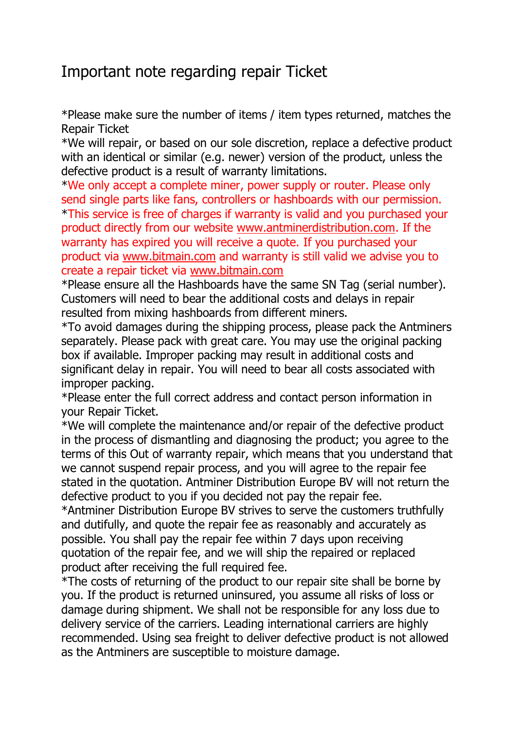## Important note regarding repair Ticket

\*Please make sure the number of items / item types returned, matches the Repair Ticket

\*We will repair, or based on our sole discretion, replace a defective product with an identical or similar (e.g. newer) version of the product, unless the defective product is a result of warranty limitations.

\*We only accept a complete miner, power supply or router. Please only send single parts like fans, controllers or hashboards with our permission. \*This service is free of charges if warranty is valid and you purchased your product directly from our website [www.antminerdistribution.com.](http://www.antminerdistribution.com/) If the warranty has expired you will receive a quote. If you purchased your product via [www.bitmain.com](http://www.bitmain.com/) and warranty is still valid we advise you to create a repair ticket via [www.bitmain.com](http://www.bitmain.com/)

\*Please ensure all the Hashboards have the same SN Tag (serial number). Customers will need to bear the additional costs and delays in repair resulted from mixing hashboards from different miners.

\*To avoid damages during the shipping process, please pack the Antminers separately. Please pack with great care. You may use the original packing box if available. Improper packing may result in additional costs and significant delay in repair. You will need to bear all costs associated with improper packing.

\*Please enter the full correct address and contact person information in your Repair Ticket.

\*We will complete the maintenance and/or repair of the defective product in the process of dismantling and diagnosing the product; you agree to the terms of this Out of warranty repair, which means that you understand that we cannot suspend repair process, and you will agree to the repair fee stated in the quotation. Antminer Distribution Europe BV will not return the defective product to you if you decided not pay the repair fee.

\*Antminer Distribution Europe BV strives to serve the customers truthfully and dutifully, and quote the repair fee as reasonably and accurately as possible. You shall pay the repair fee within 7 days upon receiving quotation of the repair fee, and we will ship the repaired or replaced product after receiving the full required fee.

\*The costs of returning of the product to our repair site shall be borne by you. If the product is returned uninsured, you assume all risks of loss or damage during shipment. We shall not be responsible for any loss due to delivery service of the carriers. Leading international carriers are highly recommended. Using sea freight to deliver defective product is not allowed as the Antminers are susceptible to moisture damage.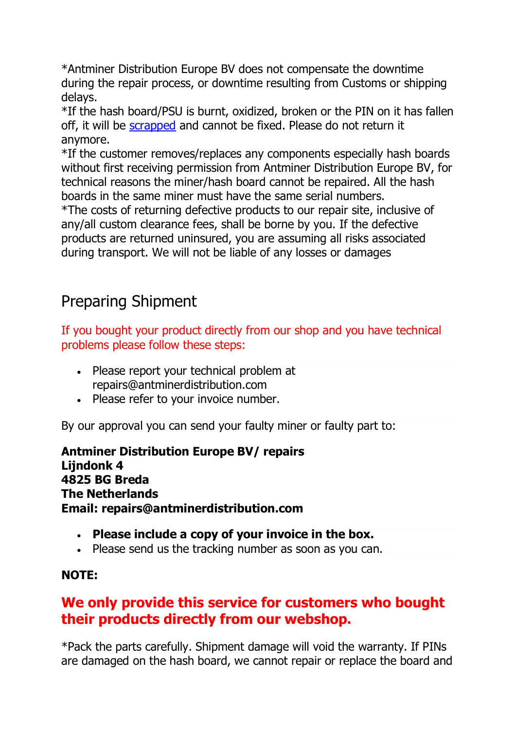\*Antminer Distribution Europe BV does not compensate the downtime during the repair process, or downtime resulting from Customs or shipping delays.

\*If the hash board/PSU is burnt, oxidized, broken or the PIN on it has fallen off, it will be [scrapped](https://support.bitmain.com/hc/en-us/articles/220667768) and cannot be fixed. Please do not return it anymore.

\*If the customer removes/replaces any components especially hash boards without first receiving permission from Antminer Distribution Europe BV, for technical reasons the miner/hash board cannot be repaired. All the hash boards in the same miner must have the same serial numbers.

\*The costs of returning defective products to our repair site, inclusive of any/all custom clearance fees, shall be borne by you. If the defective products are returned uninsured, you are assuming all risks associated during transport. We will not be liable of any losses or damages

# Preparing Shipment

If you bought your product directly from our shop and you have technical problems please follow these steps:

- Please report your technical problem at repairs@antminerdistribution.com
- Please refer to your invoice number.

By our approval you can send your faulty miner or faulty part to:

**Antminer Distribution Europe BV/ repairs Lijndonk 4 4825 BG Breda The Netherlands Email: repairs@antminerdistribution.com**

- **Please include a copy of your invoice in the box.**
- Please send us the tracking number as soon as you can.

#### **NOTE:**

#### **We only provide this service for customers who bought their products directly from our webshop.**

\*Pack the parts carefully. Shipment damage will void the warranty. If PINs are damaged on the hash board, we cannot repair or replace the board and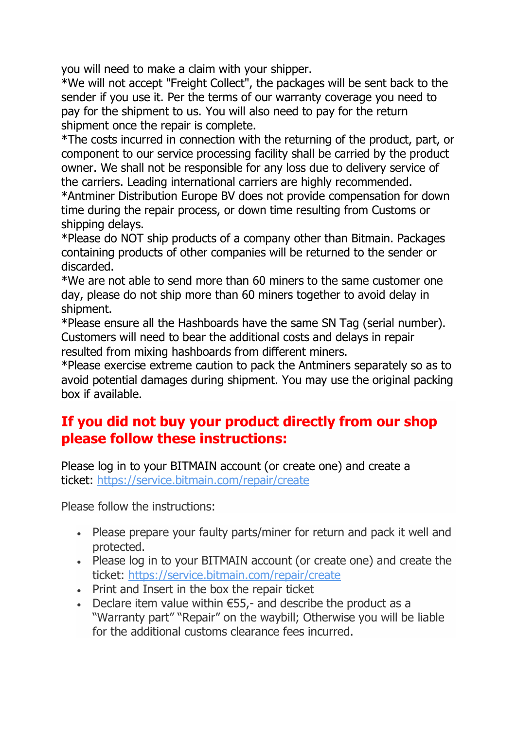you will need to make a claim with your shipper.

\*We will not accept "Freight Collect", the packages will be sent back to the sender if you use it. Per the terms of our warranty coverage you need to pay for the shipment to us. You will also need to pay for the return shipment once the repair is complete.

\*The costs incurred in connection with the returning of the product, part, or component to our service processing facility shall be carried by the product owner. We shall not be responsible for any loss due to delivery service of the carriers. Leading international carriers are highly recommended.

\*Antminer Distribution Europe BV does not provide compensation for down time during the repair process, or down time resulting from Customs or shipping delays.

\*Please do NOT ship products of a company other than Bitmain. Packages containing products of other companies will be returned to the sender or discarded.

\*We are not able to send more than 60 miners to the same customer one day, please do not ship more than 60 miners together to avoid delay in shipment.

\*Please ensure all the Hashboards have the same SN Tag (serial number). Customers will need to bear the additional costs and delays in repair resulted from mixing hashboards from different miners.

\*Please exercise extreme caution to pack the Antminers separately so as to avoid potential damages during shipment. You may use the original packing box if available.

#### **If you did not buy your product directly from our shop please follow these instructions:**

Please log in to your BITMAIN account (or create one) and create a ticket: <https://service.bitmain.com/repair/create>

Please follow the instructions:

- Please prepare your faulty parts/miner for return and pack it well and protected.
- Please log in to your BITMAIN account (or create one) and create the ticket: <https://service.bitmain.com/repair/create>
- Print and Insert in the box the repair ticket
- Declare item value within  $\epsilon$ 55,- and describe the product as a "Warranty part" "Repair" on the waybill; Otherwise you will be liable for the additional customs clearance fees incurred.